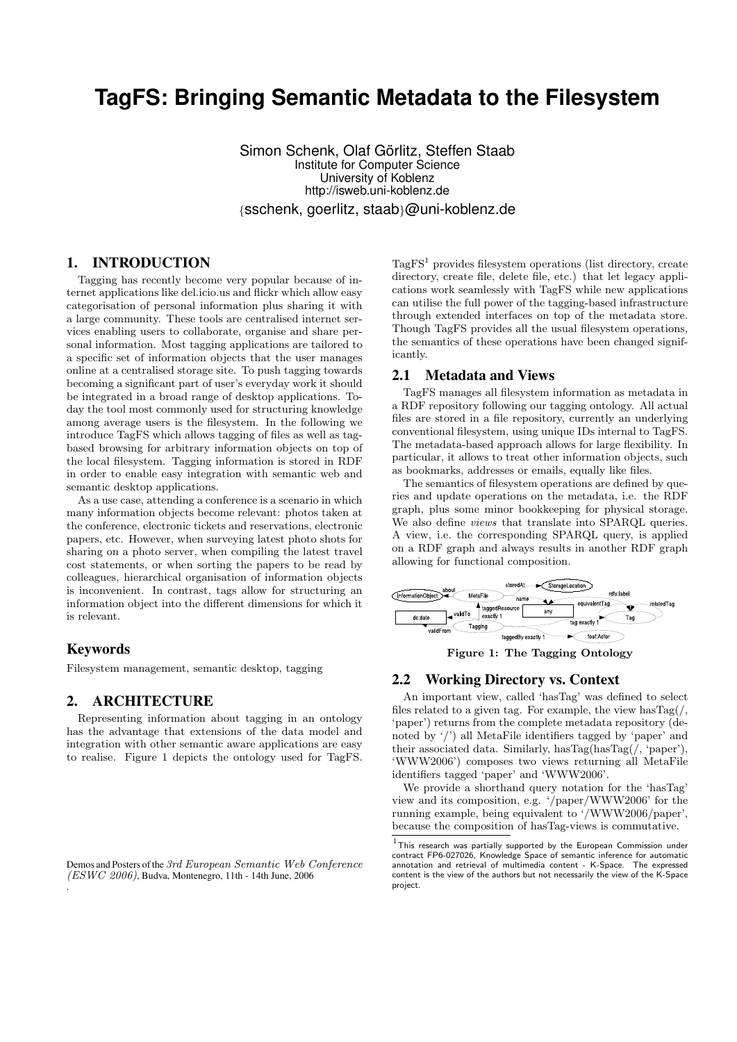# **TagFS: Bringing Semantic Metadata to the Filesystem**

Simon Schenk, Olaf Görlitz, Steffen Staab Institute for Computer Science University of Koblenz http://isweb.uni-koblenz.de {sschenk, goerlitz, staab}@uni-koblenz.de

# 1. INTRODUCTION

Tagging has recently become very popular because of internet applications like del.icio.us and flickr which allow easy categorisation of personal information plus sharing it with a large community. These tools are centralised internet services enabling users to collaborate, organise and share personal information. Most tagging applications are tailored to a specific set of information objects that the user manages online at a centralised storage site. To push tagging towards becoming a significant part of user's everyday work it should be integrated in a broad range of desktop applications. Today the tool most commonly used for structuring knowledge among average users is the filesystem. In the following we introduce TagFS which allows tagging of files as well as tagbased browsing for arbitrary information objects on top of the local filesystem. Tagging information is stored in RDF in order to enable easy integration with semantic web and semantic desktop applications.

As a use case, attending a conference is a scenario in which many information objects become relevant: photos taken at the conference, electronic tickets and reservations, electronic papers, etc. However, when surveying latest photo shots for sharing on a photo server, when compiling the latest travel cost statements, or when sorting the papers to be read by colleagues, hierarchical organisation of information objects is inconvenient. In contrast, tags allow for structuring an information object into the different dimensions for which it is relevant.

#### Keywords

.

Filesystem management, semantic desktop, tagging

## 2. ARCHITECTURE

Representing information about tagging in an ontology has the advantage that extensions of the data model and integration with other semantic aware applications are easy to realise. Figure 1 depicts the ontology used for TagFS.

Demos and Posters of the 3rd European Semantic Web Conference (ESWC 2006), Budva, Montenegro, 11th - 14th June, 2006

 $TagFS<sup>1</sup>$  provides filesystem operations (list directory, create directory, create file, delete file, etc.) that let legacy applications work seamlessly with TagFS while new applications can utilise the full power of the tagging-based infrastructure through extended interfaces on top of the metadata store. Though TagFS provides all the usual filesystem operations, the semantics of these operations have been changed significantly.

#### 2.1 Metadata and Views

TagFS manages all filesystem information as metadata in a RDF repository following our tagging ontology. All actual files are stored in a file repository, currently an underlying conventional filesystem, using unique IDs internal to TagFS. The metadata-based approach allows for large flexibility. In particular, it allows to treat other information objects, such as bookmarks, addresses or emails, equally like files.

The semantics of filesystem operations are defined by queries and update operations on the metadata, i.e. the RDF graph, plus some minor bookkeeping for physical storage. We also define views that translate into SPARQL queries. A view, i.e. the corresponding SPARQL query, is applied on a RDF graph and always results in another RDF graph allowing for functional composition.



Figure 1: The Tagging Ontology

#### 2.2 Working Directory vs. Context

An important view, called 'hasTag' was defined to select files related to a given tag. For example, the view has $Tag($ , 'paper') returns from the complete metadata repository (denoted by '/') all MetaFile identifiers tagged by 'paper' and their associated data. Similarly, hasTag(hasTag(/, 'paper'), 'WWW2006') composes two views returning all MetaFile identifiers tagged 'paper' and 'WWW2006'.

We provide a shorthand query notation for the 'hasTag' view and its composition, e.g. '/paper/WWW2006' for the running example, being equivalent to '/WWW2006/paper', because the composition of hasTag-views is commutative.

 $1$ This research was partially supported by the European Commission under contract FP6-027026, Knowledge Space of semantic inference for automatic annotation and retrieval of multimedia content - K-Space. The expressed content is the view of the authors but not necessarily the view of the K-Space project.